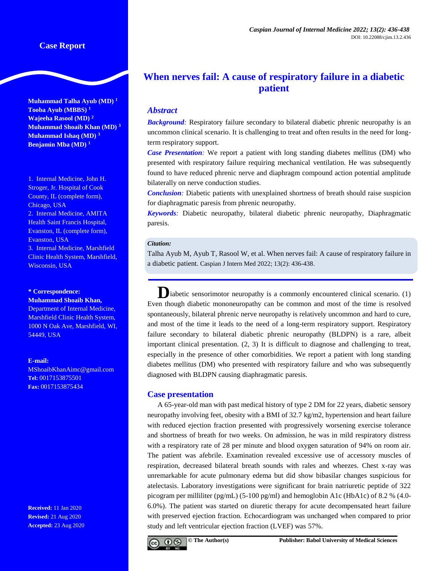**Muhammad Talha Ayub (MD) <sup>1</sup> Tooba Ayub (MBBS) <sup>1</sup> Wajeeha Rasool (MD) <sup>2</sup> Muhammad Shoaib Khan (MD) <sup>3</sup> Muhammad Ishaq (MD) <sup>3</sup> Benjamin Mba (MD) <sup>1</sup>**

1. Internal Medicine, John H. Stroger, Jr. Hospital of Cook County, IL (complete form), Chicago, USA 2. Internal Medicine, AMITA Health Saint Francis Hospital, Evanston, IL (complete form), Evanston, USA 3. Internal Medicine, Marshfield Clinic Health System, Marshfield, Wisconsin, USA

#### **\* Correspondence: Muhammad Shoaib Khan,**

Department of Internal Medicine, Marshfield Clinic Health System, 1000 N Oak Ave, Marshfield, WI, 54449, USA

#### **E-mail:**

[MShoaibKhanAimc@gmail.com](mailto:MShoaibKhanAimc@gmail.com) **Tel:** 0017153875501 **Fax:** 0017153875434

**Received:** 11 Jan 2020 **Revised:** 21 Aug 2020 **Accepted:** 23 Aug 2020

# **When nerves fail: A cause of respiratory failure in a diabetic patient**

# *Abstract*

**Background**: Respiratory failure secondary to bilateral diabetic phrenic neuropathy is an uncommon clinical scenario. It is challenging to treat and often results in the need for longterm respiratory support.

*Case Presentation*: We report a patient with long standing diabetes mellitus (DM) who presented with respiratory failure requiring mechanical ventilation. He was subsequently found to have reduced phrenic nerve and diaphragm compound action potential amplitude bilaterally on nerve conduction studies.

*Conclusion*: Diabetic patients with unexplained shortness of breath should raise suspicion for diaphragmatic paresis from phrenic neuropathy.

*Keywords:* Diabetic neuropathy, bilateral diabetic phrenic neuropathy, Diaphragmatic paresis.

#### *Citation:*

Talha Ayub M, Ayub T, Rasool W, et al. When nerves fail: A cause of respiratory failure in a diabetic patient. Caspian J Intern Med 2022; 13(2): 436-438.

**D**iabetic sensorimotor neuropathy is a commonly encountered clinical scenario. (1) Even though diabetic mononeuropathy can be common and most of the time is resolved spontaneously, bilateral phrenic nerve neuropathy is relatively uncommon and hard to cure, and most of the time it leads to the need of a long-term respiratory support. Respiratory failure secondary to bilateral diabetic phrenic neuropathy (BLDPN) is a rare, albeit important clinical presentation. (2, 3) It is difficult to diagnose and challenging to treat, especially in the presence of other comorbidities. We report a patient with long standing diabetes mellitus (DM) who presented with respiratory failure and who was subsequently diagnosed with BLDPN causing diaphragmatic paresis.

## **Case presentation**

A 65-year-old man with past medical history of type 2 DM for 22 years, diabetic sensory neuropathy involving feet, obesity with a BMI of 32.7 kg/m2, hypertension and heart failure with reduced ejection fraction presented with progressively worsening exercise tolerance and shortness of breath for two weeks. On admission, he was in mild respiratory distress with a respiratory rate of 28 per minute and blood oxygen saturation of 94% on room air. The patient was afebrile. Examination revealed excessive use of accessory muscles of respiration, decreased bilateral breath sounds with rales and wheezes. Chest x-ray was unremarkable for acute pulmonary edema but did show bibasilar changes suspicious for atelectasis. Laboratory investigations were significant for brain natriuretic peptide of 322 picogram per milliliter (pg/mL) (5-100 pg/ml) and hemoglobin A1c (HbA1c) of 8.2 % (4.0- 6.0%). The patient was started on diuretic therapy for acute decompensated heart failure with preserved ejection fraction. Echocardiogram was unchanged when compared to prior study and left ventricular ejection fraction (LVEF) was 57%.

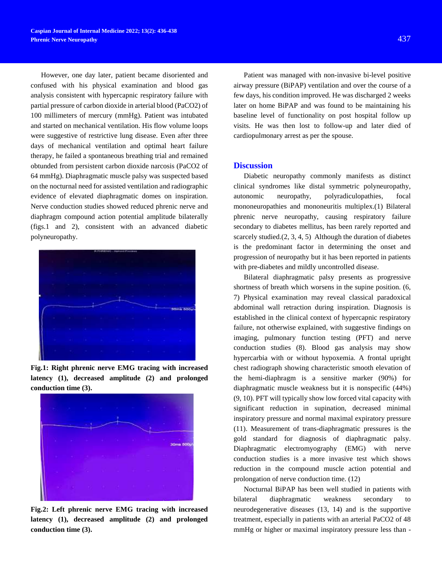However, one day later, patient became disoriented and confused with his physical examination and blood gas analysis consistent with hypercapnic respiratory failure with partial pressure of carbon dioxide in arterial blood (PaCO2) of 100 millimeters of mercury (mmHg). Patient was intubated and started on mechanical ventilation. His flow volume loops were suggestive of restrictive lung disease. Even after three days of mechanical ventilation and optimal heart failure therapy, he failed a spontaneous breathing trial and remained obtunded from persistent carbon dioxide narcosis (PaCO2 of 64 mmHg). Diaphragmatic muscle palsy was suspected based on the nocturnal need for assisted ventilation and radiographic evidence of elevated diaphragmatic domes on inspiration. Nerve conduction studies showed reduced phrenic nerve and diaphragm compound action potential amplitude bilaterally (figs.1 and 2), consistent with an advanced diabetic polyneuropathy.



**Fig.1: Right phrenic nerve EMG tracing with increased latency (1), decreased amplitude (2) and prolonged conduction time (3).**



**Fig.2: Left phrenic nerve EMG tracing with increased latency (1), decreased amplitude (2) and prolonged conduction time (3).**

Patient was managed with non-invasive bi-level positive airway pressure (BiPAP) ventilation and over the course of a few days, his condition improved. He was discharged 2 weeks later on home BiPAP and was found to be maintaining his baseline level of functionality on post hospital follow up visits. He was then lost to follow-up and later died of cardiopulmonary arrest as per the spouse.

#### **Discussion**

Diabetic neuropathy commonly manifests as distinct clinical syndromes like distal symmetric polyneuropathy, autonomic neuropathy, polyradiculopathies, focal mononeuropathies and mononeuritis multiplex.(1) Bilateral phrenic nerve neuropathy, causing respiratory failure secondary to diabetes mellitus, has been rarely reported and scarcely studied.(2, 3, 4, 5) Although the duration of diabetes is the predominant factor in determining the onset and progression of neuropathy but it has been reported in patients with pre-diabetes and mildly uncontrolled disease.

Bilateral diaphragmatic palsy presents as progressive shortness of breath which worsens in the supine position. (6, 7) Physical examination may reveal classical paradoxical abdominal wall retraction during inspiration. Diagnosis is established in the clinical context of hypercapnic respiratory failure, not otherwise explained, with suggestive findings on imaging, pulmonary function testing (PFT) and nerve conduction studies (8). Blood gas analysis may show hypercarbia with or without hypoxemia. A frontal upright chest radiograph showing characteristic smooth elevation of the hemi-diaphragm is a sensitive marker (90%) for diaphragmatic muscle weakness but it is nonspecific (44%) (9, 10). PFT will typically show low forced vital capacity with significant reduction in supination, decreased minimal inspiratory pressure and normal maximal expiratory pressure (11). Measurement of trans-diaphragmatic pressures is the gold standard for diagnosis of diaphragmatic palsy. Diaphragmatic electromyography (EMG) with nerve conduction studies is a more invasive test which shows reduction in the compound muscle action potential and prolongation of nerve conduction time. (12)

Nocturnal BiPAP has been well studied in patients with bilateral diaphragmatic weakness secondary to neurodegenerative diseases (13, 14) and is the supportive treatment, especially in patients with an arterial PaCO2 of 48 mmHg or higher or maximal inspiratory pressure less than -